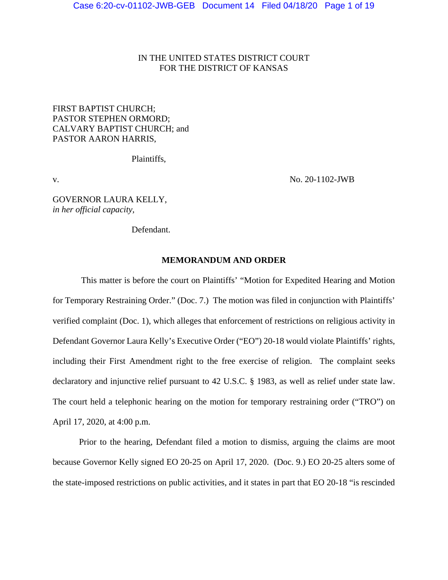# IN THE UNITED STATES DISTRICT COURT FOR THE DISTRICT OF KANSAS

# FIRST BAPTIST CHURCH; PASTOR STEPHEN ORMORD; CALVARY BAPTIST CHURCH; and PASTOR AARON HARRIS,

Plaintiffs,

v. No. 20-1102-JWB

GOVERNOR LAURA KELLY, *in her official capacity,*

Defendant.

# **MEMORANDUM AND ORDER**

 This matter is before the court on Plaintiffs' "Motion for Expedited Hearing and Motion for Temporary Restraining Order." (Doc. 7.) The motion was filed in conjunction with Plaintiffs' verified complaint (Doc. 1), which alleges that enforcement of restrictions on religious activity in Defendant Governor Laura Kelly's Executive Order ("EO") 20-18 would violate Plaintiffs' rights, including their First Amendment right to the free exercise of religion. The complaint seeks declaratory and injunctive relief pursuant to 42 U.S.C. § 1983, as well as relief under state law. The court held a telephonic hearing on the motion for temporary restraining order ("TRO") on April 17, 2020, at 4:00 p.m.

 Prior to the hearing, Defendant filed a motion to dismiss, arguing the claims are moot because Governor Kelly signed EO 20-25 on April 17, 2020. (Doc. 9.) EO 20-25 alters some of the state-imposed restrictions on public activities, and it states in part that EO 20-18 "is rescinded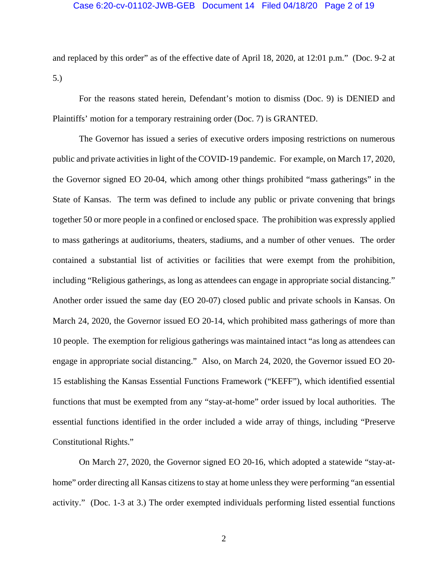## Case 6:20-cv-01102-JWB-GEB Document 14 Filed 04/18/20 Page 2 of 19

and replaced by this order" as of the effective date of April 18, 2020, at 12:01 p.m." (Doc. 9-2 at 5.)

 For the reasons stated herein, Defendant's motion to dismiss (Doc. 9) is DENIED and Plaintiffs' motion for a temporary restraining order (Doc. 7) is GRANTED.

 The Governor has issued a series of executive orders imposing restrictions on numerous public and private activities in light of the COVID-19 pandemic. For example, on March 17, 2020, the Governor signed EO 20-04, which among other things prohibited "mass gatherings" in the State of Kansas. The term was defined to include any public or private convening that brings together 50 or more people in a confined or enclosed space. The prohibition was expressly applied to mass gatherings at auditoriums, theaters, stadiums, and a number of other venues. The order contained a substantial list of activities or facilities that were exempt from the prohibition, including "Religious gatherings, as long as attendees can engage in appropriate social distancing." Another order issued the same day (EO 20-07) closed public and private schools in Kansas. On March 24, 2020, the Governor issued EO 20-14, which prohibited mass gatherings of more than 10 people. The exemption for religious gatherings was maintained intact "as long as attendees can engage in appropriate social distancing." Also, on March 24, 2020, the Governor issued EO 20- 15 establishing the Kansas Essential Functions Framework ("KEFF"), which identified essential functions that must be exempted from any "stay-at-home" order issued by local authorities. The essential functions identified in the order included a wide array of things, including "Preserve Constitutional Rights."

 On March 27, 2020, the Governor signed EO 20-16, which adopted a statewide "stay-athome" order directing all Kansas citizens to stay at home unless they were performing "an essential activity." (Doc. 1-3 at 3.) The order exempted individuals performing listed essential functions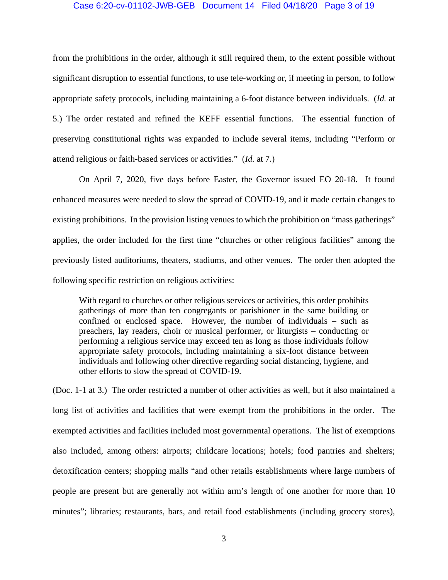## Case 6:20-cv-01102-JWB-GEB Document 14 Filed 04/18/20 Page 3 of 19

from the prohibitions in the order, although it still required them, to the extent possible without significant disruption to essential functions, to use tele-working or, if meeting in person, to follow appropriate safety protocols, including maintaining a 6-foot distance between individuals. (*Id.* at 5.) The order restated and refined the KEFF essential functions. The essential function of preserving constitutional rights was expanded to include several items, including "Perform or attend religious or faith-based services or activities." (*Id.* at 7.)

On April 7, 2020, five days before Easter, the Governor issued EO 20-18. It found enhanced measures were needed to slow the spread of COVID-19, and it made certain changes to existing prohibitions. In the provision listing venues to which the prohibition on "mass gatherings" applies, the order included for the first time "churches or other religious facilities" among the previously listed auditoriums, theaters, stadiums, and other venues. The order then adopted the following specific restriction on religious activities:

With regard to churches or other religious services or activities, this order prohibits gatherings of more than ten congregants or parishioner in the same building or confined or enclosed space. However, the number of individuals – such as preachers, lay readers, choir or musical performer, or liturgists – conducting or performing a religious service may exceed ten as long as those individuals follow appropriate safety protocols, including maintaining a six-foot distance between individuals and following other directive regarding social distancing, hygiene, and other efforts to slow the spread of COVID-19.

(Doc. 1-1 at 3.) The order restricted a number of other activities as well, but it also maintained a long list of activities and facilities that were exempt from the prohibitions in the order. The exempted activities and facilities included most governmental operations. The list of exemptions also included, among others: airports; childcare locations; hotels; food pantries and shelters; detoxification centers; shopping malls "and other retails establishments where large numbers of people are present but are generally not within arm's length of one another for more than 10 minutes"; libraries; restaurants, bars, and retail food establishments (including grocery stores),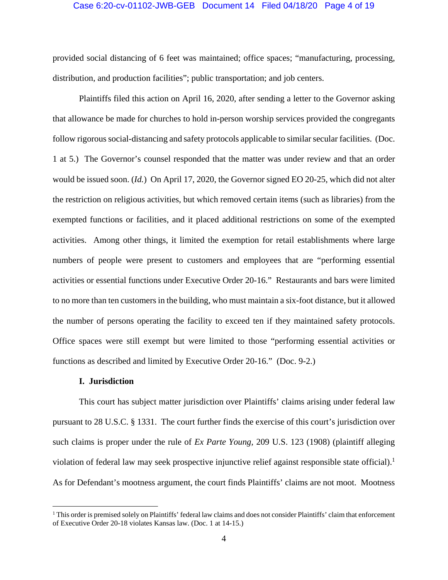#### Case 6:20-cv-01102-JWB-GEB Document 14 Filed 04/18/20 Page 4 of 19

provided social distancing of 6 feet was maintained; office spaces; "manufacturing, processing, distribution, and production facilities"; public transportation; and job centers.

 Plaintiffs filed this action on April 16, 2020, after sending a letter to the Governor asking that allowance be made for churches to hold in-person worship services provided the congregants follow rigorous social-distancing and safety protocols applicable to similar secular facilities. (Doc. 1 at 5.) The Governor's counsel responded that the matter was under review and that an order would be issued soon. (*Id.*) On April 17, 2020, the Governor signed EO 20-25, which did not alter the restriction on religious activities, but which removed certain items (such as libraries) from the exempted functions or facilities, and it placed additional restrictions on some of the exempted activities. Among other things, it limited the exemption for retail establishments where large numbers of people were present to customers and employees that are "performing essential activities or essential functions under Executive Order 20-16." Restaurants and bars were limited to no more than ten customers in the building, who must maintain a six-foot distance, but it allowed the number of persons operating the facility to exceed ten if they maintained safety protocols. Office spaces were still exempt but were limited to those "performing essential activities or functions as described and limited by Executive Order 20-16." (Doc. 9-2.)

## **I. Jurisdiction**

<u>.</u>

This court has subject matter jurisdiction over Plaintiffs' claims arising under federal law pursuant to 28 U.S.C. § 1331. The court further finds the exercise of this court's jurisdiction over such claims is proper under the rule of *Ex Parte Young,* 209 U.S. 123 (1908) (plaintiff alleging violation of federal law may seek prospective injunctive relief against responsible state official).<sup>1</sup> As for Defendant's mootness argument, the court finds Plaintiffs' claims are not moot. Mootness

<sup>&</sup>lt;sup>1</sup> This order is premised solely on Plaintiffs' federal law claims and does not consider Plaintiffs' claim that enforcement of Executive Order 20-18 violates Kansas law. (Doc. 1 at 14-15.)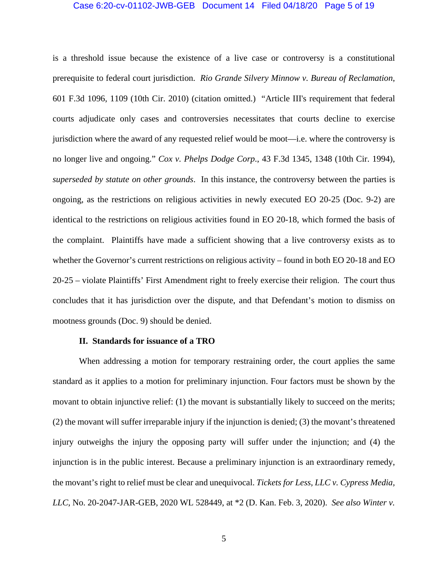#### Case 6:20-cv-01102-JWB-GEB Document 14 Filed 04/18/20 Page 5 of 19

is a threshold issue because the existence of a live case or controversy is a constitutional prerequisite to federal court jurisdiction. *Rio Grande Silvery Minnow v. Bureau of Reclamation*, 601 F.3d 1096, 1109 (10th Cir. 2010) (citation omitted.) "Article III's requirement that federal courts adjudicate only cases and controversies necessitates that courts decline to exercise jurisdiction where the award of any requested relief would be moot—i.e. where the controversy is no longer live and ongoing." *Cox v. Phelps Dodge Corp*., 43 F.3d 1345, 1348 (10th Cir. 1994), *superseded by statute on other grounds*. In this instance, the controversy between the parties is ongoing, as the restrictions on religious activities in newly executed EO 20-25 (Doc. 9-2) are identical to the restrictions on religious activities found in EO 20-18, which formed the basis of the complaint. Plaintiffs have made a sufficient showing that a live controversy exists as to whether the Governor's current restrictions on religious activity – found in both EO 20-18 and EO 20-25 – violate Plaintiffs' First Amendment right to freely exercise their religion. The court thus concludes that it has jurisdiction over the dispute, and that Defendant's motion to dismiss on mootness grounds (Doc. 9) should be denied.

### **II. Standards for issuance of a TRO**

When addressing a motion for temporary restraining order, the court applies the same standard as it applies to a motion for preliminary injunction. Four factors must be shown by the movant to obtain injunctive relief: (1) the movant is substantially likely to succeed on the merits; (2) the movant will suffer irreparable injury if the injunction is denied; (3) the movant's threatened injury outweighs the injury the opposing party will suffer under the injunction; and (4) the injunction is in the public interest. Because a preliminary injunction is an extraordinary remedy, the movant's right to relief must be clear and unequivocal. *Tickets for Less, LLC v. Cypress Media, LLC*, No. 20-2047-JAR-GEB, 2020 WL 528449, at \*2 (D. Kan. Feb. 3, 2020). *See also Winter v.*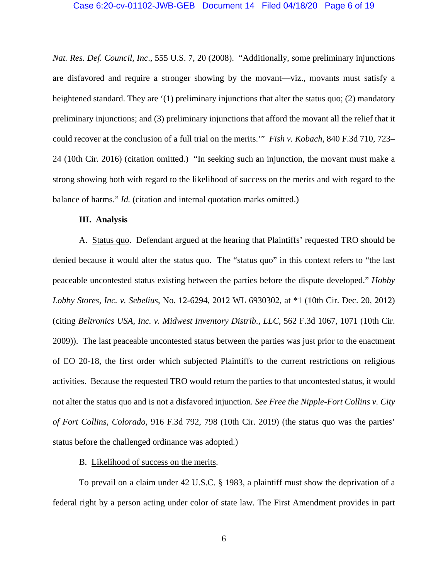#### Case 6:20-cv-01102-JWB-GEB Document 14 Filed 04/18/20 Page 6 of 19

*Nat. Res. Def. Council, Inc*., 555 U.S. 7, 20 (2008). "Additionally, some preliminary injunctions are disfavored and require a stronger showing by the movant—viz., movants must satisfy a heightened standard. They are '(1) preliminary injunctions that alter the status quo; (2) mandatory preliminary injunctions; and (3) preliminary injunctions that afford the movant all the relief that it could recover at the conclusion of a full trial on the merits.'" *Fish v. Kobach*, 840 F.3d 710, 723– 24 (10th Cir. 2016) (citation omitted.) "In seeking such an injunction, the movant must make a strong showing both with regard to the likelihood of success on the merits and with regard to the balance of harms." *Id.* (citation and internal quotation marks omitted.)

#### **III. Analysis**

A. Status quo. Defendant argued at the hearing that Plaintiffs' requested TRO should be denied because it would alter the status quo. The "status quo" in this context refers to "the last peaceable uncontested status existing between the parties before the dispute developed." *Hobby Lobby Stores, Inc. v. Sebelius*, No. 12-6294, 2012 WL 6930302, at \*1 (10th Cir. Dec. 20, 2012) (citing *Beltronics USA, Inc. v. Midwest Inventory Distrib., LLC*, 562 F.3d 1067, 1071 (10th Cir. 2009)). The last peaceable uncontested status between the parties was just prior to the enactment of EO 20-18, the first order which subjected Plaintiffs to the current restrictions on religious activities. Because the requested TRO would return the parties to that uncontested status, it would not alter the status quo and is not a disfavored injunction. *See Free the Nipple-Fort Collins v. City of Fort Collins, Colorado*, 916 F.3d 792, 798 (10th Cir. 2019) (the status quo was the parties' status before the challenged ordinance was adopted.)

# B. Likelihood of success on the merits.

To prevail on a claim under 42 U.S.C. § 1983, a plaintiff must show the deprivation of a federal right by a person acting under color of state law. The First Amendment provides in part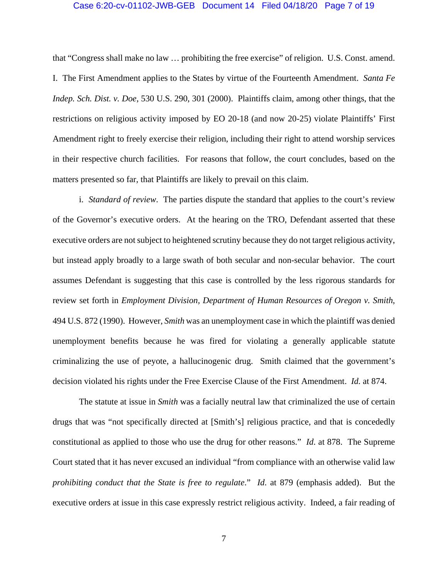#### Case 6:20-cv-01102-JWB-GEB Document 14 Filed 04/18/20 Page 7 of 19

that "Congress shall make no law … prohibiting the free exercise" of religion. U.S. Const. amend. I. The First Amendment applies to the States by virtue of the Fourteenth Amendment. *Santa Fe Indep. Sch. Dist. v. Doe*, 530 U.S. 290, 301 (2000). Plaintiffs claim, among other things, that the restrictions on religious activity imposed by EO 20-18 (and now 20-25) violate Plaintiffs' First Amendment right to freely exercise their religion, including their right to attend worship services in their respective church facilities. For reasons that follow, the court concludes, based on the matters presented so far, that Plaintiffs are likely to prevail on this claim.

i. *Standard of review*. The parties dispute the standard that applies to the court's review of the Governor's executive orders. At the hearing on the TRO, Defendant asserted that these executive orders are not subject to heightened scrutiny because they do not target religious activity, but instead apply broadly to a large swath of both secular and non-secular behavior. The court assumes Defendant is suggesting that this case is controlled by the less rigorous standards for review set forth in *Employment Division, Department of Human Resources of Oregon v. Smith*, 494 U.S. 872 (1990). However, *Smith* was an unemployment case in which the plaintiff was denied unemployment benefits because he was fired for violating a generally applicable statute criminalizing the use of peyote, a hallucinogenic drug. Smith claimed that the government's decision violated his rights under the Free Exercise Clause of the First Amendment. *Id.* at 874.

The statute at issue in *Smith* was a facially neutral law that criminalized the use of certain drugs that was "not specifically directed at [Smith's] religious practice, and that is concededly constitutional as applied to those who use the drug for other reasons." *Id*. at 878. The Supreme Court stated that it has never excused an individual "from compliance with an otherwise valid law *prohibiting conduct that the State is free to regulate*." *Id*. at 879 (emphasis added). But the executive orders at issue in this case expressly restrict religious activity. Indeed, a fair reading of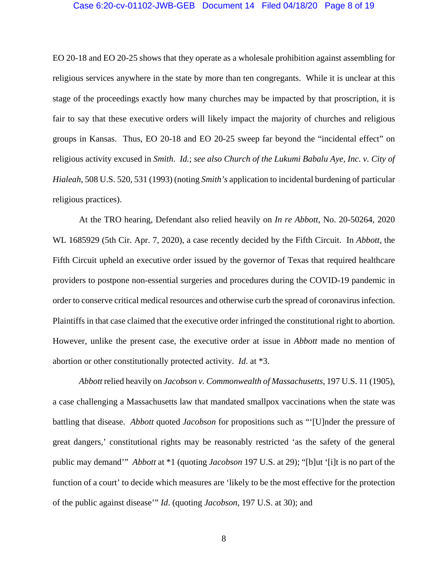#### Case 6:20-cv-01102-JWB-GEB Document 14 Filed 04/18/20 Page 8 of 19

EO 20-18 and EO 20-25 shows that they operate as a wholesale prohibition against assembling for religious services anywhere in the state by more than ten congregants. While it is unclear at this stage of the proceedings exactly how many churches may be impacted by that proscription, it is fair to say that these executive orders will likely impact the majority of churches and religious groups in Kansas. Thus, EO 20-18 and EO 20-25 sweep far beyond the "incidental effect" on religious activity excused in *Smith*. *Id.*; *see also Church of the Lukumi Babalu Aye, Inc. v. City of Hialeah*, 508 U.S. 520, 531 (1993) (noting *Smith's* application to incidental burdening of particular religious practices).

At the TRO hearing, Defendant also relied heavily on *In re Abbott*, No. 20-50264, 2020 WL 1685929 (5th Cir. Apr. 7, 2020), a case recently decided by the Fifth Circuit. In *Abbott*, the Fifth Circuit upheld an executive order issued by the governor of Texas that required healthcare providers to postpone non-essential surgeries and procedures during the COVID-19 pandemic in order to conserve critical medical resources and otherwise curb the spread of coronavirus infection. Plaintiffs in that case claimed that the executive order infringed the constitutional right to abortion. However, unlike the present case, the executive order at issue in *Abbott* made no mention of abortion or other constitutionally protected activity. *Id*. at \*3.

*Abbott* relied heavily on *Jacobson v. Commonwealth of Massachusetts*, 197 U.S. 11 (1905), a case challenging a Massachusetts law that mandated smallpox vaccinations when the state was battling that disease. *Abbott* quoted *Jacobson* for propositions such as "'[U]nder the pressure of great dangers,' constitutional rights may be reasonably restricted 'as the safety of the general public may demand'" *Abbott* at \*1 (quoting *Jacobson* 197 U.S. at 29); "[b]ut '[i]t is no part of the function of a court' to decide which measures are 'likely to be the most effective for the protection of the public against disease'" *Id*. (quoting *Jacobson*, 197 U.S. at 30); and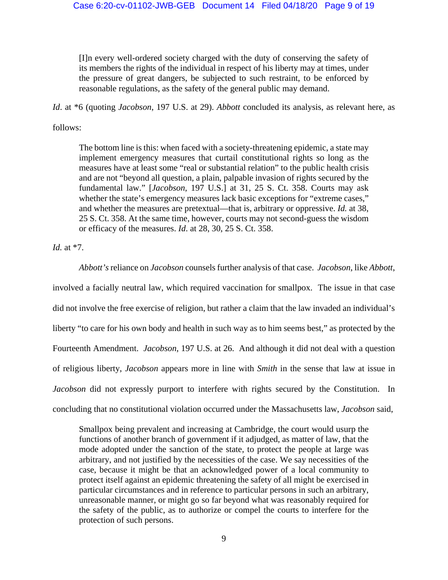[I]n every well-ordered society charged with the duty of conserving the safety of its members the rights of the individual in respect of his liberty may at times, under the pressure of great dangers, be subjected to such restraint, to be enforced by reasonable regulations, as the safety of the general public may demand.

*Id*. at \*6 (quoting *Jacobson*, 197 U.S. at 29). *Abbott* concluded its analysis, as relevant here, as

follows:

The bottom line is this: when faced with a society-threatening epidemic, a state may implement emergency measures that curtail constitutional rights so long as the measures have at least some "real or substantial relation" to the public health crisis and are not "beyond all question, a plain, palpable invasion of rights secured by the fundamental law." [*Jacobson*, 197 U.S.] at 31, 25 S. Ct. 358. Courts may ask whether the state's emergency measures lack basic exceptions for "extreme cases," and whether the measures are pretextual—that is, arbitrary or oppressive. *Id.* at 38, 25 S. Ct. 358. At the same time, however, courts may not second-guess the wisdom or efficacy of the measures. *Id*. at 28, 30, 25 S. Ct. 358.

*Id.* at \*7.

*Abbott's* reliance on *Jacobson* counsels further analysis of that case. *Jacobson*, like *Abbott*, involved a facially neutral law, which required vaccination for smallpox. The issue in that case did not involve the free exercise of religion, but rather a claim that the law invaded an individual's liberty "to care for his own body and health in such way as to him seems best," as protected by the Fourteenth Amendment. *Jacobson*, 197 U.S. at 26. And although it did not deal with a question of religious liberty, *Jacobson* appears more in line with *Smith* in the sense that law at issue in *Jacobson* did not expressly purport to interfere with rights secured by the Constitution. In concluding that no constitutional violation occurred under the Massachusetts law, *Jacobson* said,

Smallpox being prevalent and increasing at Cambridge, the court would usurp the functions of another branch of government if it adjudged, as matter of law, that the mode adopted under the sanction of the state, to protect the people at large was arbitrary, and not justified by the necessities of the case. We say necessities of the case, because it might be that an acknowledged power of a local community to protect itself against an epidemic threatening the safety of all might be exercised in particular circumstances and in reference to particular persons in such an arbitrary, unreasonable manner, or might go so far beyond what was reasonably required for the safety of the public, as to authorize or compel the courts to interfere for the protection of such persons.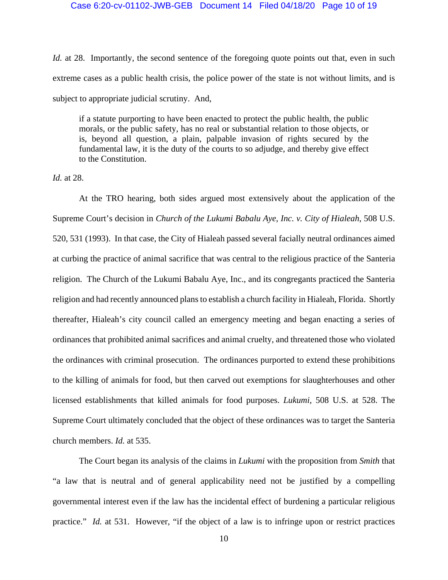## Case 6:20-cv-01102-JWB-GEB Document 14 Filed 04/18/20 Page 10 of 19

*Id.* at 28. Importantly, the second sentence of the foregoing quote points out that, even in such extreme cases as a public health crisis, the police power of the state is not without limits, and is subject to appropriate judicial scrutiny. And,

if a statute purporting to have been enacted to protect the public health, the public morals, or the public safety, has no real or substantial relation to those objects, or is, beyond all question, a plain, palpable invasion of rights secured by the fundamental law, it is the duty of the courts to so adjudge, and thereby give effect to the Constitution.

*Id.* at 28.

 At the TRO hearing, both sides argued most extensively about the application of the Supreme Court's decision in *Church of the Lukumi Babalu Aye, Inc. v. City of Hialeah*, 508 U.S. 520, 531 (1993). In that case, the City of Hialeah passed several facially neutral ordinances aimed at curbing the practice of animal sacrifice that was central to the religious practice of the Santeria religion. The Church of the Lukumi Babalu Aye, Inc., and its congregants practiced the Santeria religion and had recently announced plans to establish a church facility in Hialeah, Florida. Shortly thereafter, Hialeah's city council called an emergency meeting and began enacting a series of ordinances that prohibited animal sacrifices and animal cruelty, and threatened those who violated the ordinances with criminal prosecution. The ordinances purported to extend these prohibitions to the killing of animals for food, but then carved out exemptions for slaughterhouses and other licensed establishments that killed animals for food purposes. *Lukumi,* 508 U.S. at 528. The Supreme Court ultimately concluded that the object of these ordinances was to target the Santeria church members. *Id.* at 535.

The Court began its analysis of the claims in *Lukumi* with the proposition from *Smith* that "a law that is neutral and of general applicability need not be justified by a compelling governmental interest even if the law has the incidental effect of burdening a particular religious practice." *Id.* at 531. However, "if the object of a law is to infringe upon or restrict practices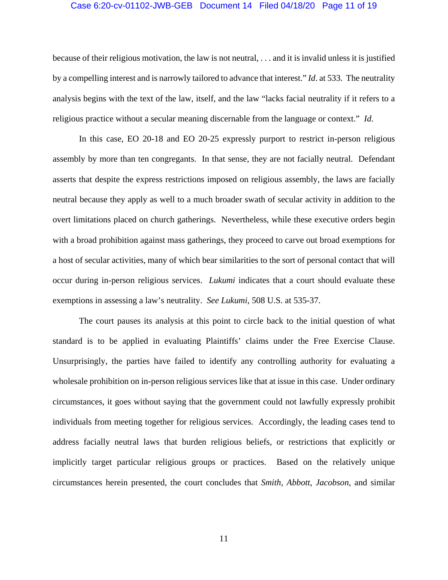#### Case 6:20-cv-01102-JWB-GEB Document 14 Filed 04/18/20 Page 11 of 19

because of their religious motivation, the law is not neutral, . . . and it is invalid unless it is justified by a compelling interest and is narrowly tailored to advance that interest." *Id*. at 533. The neutrality analysis begins with the text of the law, itself, and the law "lacks facial neutrality if it refers to a religious practice without a secular meaning discernable from the language or context." *Id*.

In this case, EO 20-18 and EO 20-25 expressly purport to restrict in-person religious assembly by more than ten congregants. In that sense, they are not facially neutral. Defendant asserts that despite the express restrictions imposed on religious assembly, the laws are facially neutral because they apply as well to a much broader swath of secular activity in addition to the overt limitations placed on church gatherings. Nevertheless, while these executive orders begin with a broad prohibition against mass gatherings, they proceed to carve out broad exemptions for a host of secular activities, many of which bear similarities to the sort of personal contact that will occur during in-person religious services. *Lukumi* indicates that a court should evaluate these exemptions in assessing a law's neutrality. *See Lukumi*, 508 U.S. at 535-37.

The court pauses its analysis at this point to circle back to the initial question of what standard is to be applied in evaluating Plaintiffs' claims under the Free Exercise Clause. Unsurprisingly, the parties have failed to identify any controlling authority for evaluating a wholesale prohibition on in-person religious services like that at issue in this case. Under ordinary circumstances, it goes without saying that the government could not lawfully expressly prohibit individuals from meeting together for religious services. Accordingly, the leading cases tend to address facially neutral laws that burden religious beliefs, or restrictions that explicitly or implicitly target particular religious groups or practices. Based on the relatively unique circumstances herein presented, the court concludes that *Smith*, *Abbott*, *Jacobson*, and similar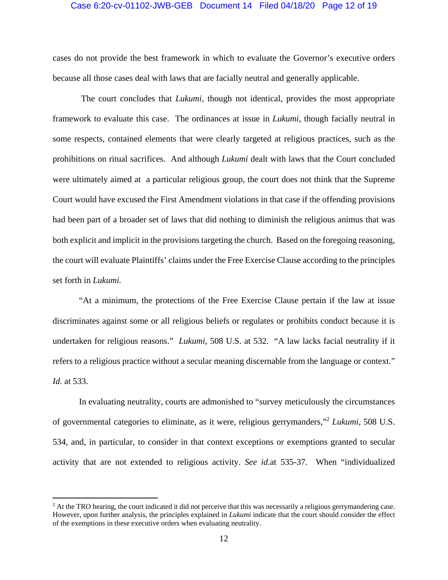#### Case 6:20-cv-01102-JWB-GEB Document 14 Filed 04/18/20 Page 12 of 19

cases do not provide the best framework in which to evaluate the Governor's executive orders because all those cases deal with laws that are facially neutral and generally applicable.

 The court concludes that *Lukumi*, though not identical, provides the most appropriate framework to evaluate this case. The ordinances at issue in *Lukumi*, though facially neutral in some respects, contained elements that were clearly targeted at religious practices, such as the prohibitions on ritual sacrifices. And although *Lukumi* dealt with laws that the Court concluded were ultimately aimed at a particular religious group, the court does not think that the Supreme Court would have excused the First Amendment violations in that case if the offending provisions had been part of a broader set of laws that did nothing to diminish the religious animus that was both explicit and implicit in the provisions targeting the church. Based on the foregoing reasoning, the court will evaluate Plaintiffs' claims under the Free Exercise Clause according to the principles set forth in *Lukumi.*

"At a minimum, the protections of the Free Exercise Clause pertain if the law at issue discriminates against some or all religious beliefs or regulates or prohibits conduct because it is undertaken for religious reasons." *Lukumi*, 508 U.S. at 532. "A law lacks facial neutrality if it refers to a religious practice without a secular meaning discernable from the language or context." *Id.* at 533.

In evaluating neutrality, courts are admonished to "survey meticulously the circumstances of governmental categories to eliminate, as it were, religious gerrymanders,"2 *Lukumi*, 508 U.S. 534, and, in particular, to consider in that context exceptions or exemptions granted to secular activity that are not extended to religious activity. *See id*.at 535-37. When "individualized

 $\overline{a}$ 

<sup>&</sup>lt;sup>2</sup> At the TRO hearing, the court indicated it did not perceive that this was necessarily a religious gerrymandering case. However, upon further analysis, the principles explained in *Lukumi* indicate that the court should consider the effect of the exemptions in these executive orders when evaluating neutrality.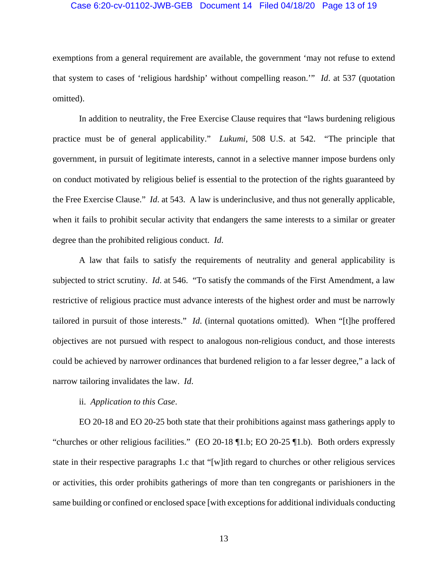#### Case 6:20-cv-01102-JWB-GEB Document 14 Filed 04/18/20 Page 13 of 19

exemptions from a general requirement are available, the government 'may not refuse to extend that system to cases of 'religious hardship' without compelling reason.'" *Id*. at 537 (quotation omitted).

In addition to neutrality, the Free Exercise Clause requires that "laws burdening religious practice must be of general applicability." *Lukumi*, 508 U.S. at 542. "The principle that government, in pursuit of legitimate interests, cannot in a selective manner impose burdens only on conduct motivated by religious belief is essential to the protection of the rights guaranteed by the Free Exercise Clause." *Id*. at 543. A law is underinclusive, and thus not generally applicable, when it fails to prohibit secular activity that endangers the same interests to a similar or greater degree than the prohibited religious conduct. *Id*.

A law that fails to satisfy the requirements of neutrality and general applicability is subjected to strict scrutiny. *Id*. at 546. "To satisfy the commands of the First Amendment, a law restrictive of religious practice must advance interests of the highest order and must be narrowly tailored in pursuit of those interests." *Id*. (internal quotations omitted). When "[t]he proffered objectives are not pursued with respect to analogous non-religious conduct, and those interests could be achieved by narrower ordinances that burdened religion to a far lesser degree," a lack of narrow tailoring invalidates the law. *Id*.

## ii. *Application to this Case*.

 EO 20-18 and EO 20-25 both state that their prohibitions against mass gatherings apply to "churches or other religious facilities." (EO 20-18 ¶1.b; EO 20-25 ¶1.b). Both orders expressly state in their respective paragraphs 1.c that "[w]ith regard to churches or other religious services or activities, this order prohibits gatherings of more than ten congregants or parishioners in the same building or confined or enclosed space [with exceptions for additional individuals conducting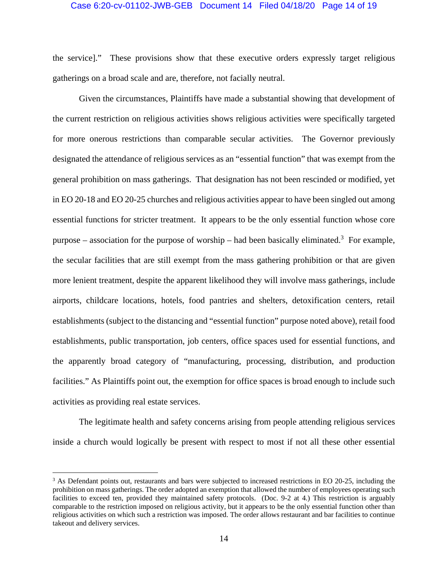### Case 6:20-cv-01102-JWB-GEB Document 14 Filed 04/18/20 Page 14 of 19

the service]." These provisions show that these executive orders expressly target religious gatherings on a broad scale and are, therefore, not facially neutral.

Given the circumstances, Plaintiffs have made a substantial showing that development of the current restriction on religious activities shows religious activities were specifically targeted for more onerous restrictions than comparable secular activities. The Governor previously designated the attendance of religious services as an "essential function" that was exempt from the general prohibition on mass gatherings. That designation has not been rescinded or modified, yet in EO 20-18 and EO 20-25 churches and religious activities appear to have been singled out among essential functions for stricter treatment. It appears to be the only essential function whose core purpose – association for the purpose of worship – had been basically eliminated.<sup>3</sup> For example, the secular facilities that are still exempt from the mass gathering prohibition or that are given more lenient treatment, despite the apparent likelihood they will involve mass gatherings, include airports, childcare locations, hotels, food pantries and shelters, detoxification centers, retail establishments (subject to the distancing and "essential function" purpose noted above), retail food establishments, public transportation, job centers, office spaces used for essential functions, and the apparently broad category of "manufacturing, processing, distribution, and production facilities." As Plaintiffs point out, the exemption for office spaces is broad enough to include such activities as providing real estate services.

The legitimate health and safety concerns arising from people attending religious services inside a church would logically be present with respect to most if not all these other essential

 $\overline{a}$ 

<sup>&</sup>lt;sup>3</sup> As Defendant points out, restaurants and bars were subjected to increased restrictions in EO 20-25, including the prohibition on mass gatherings. The order adopted an exemption that allowed the number of employees operating such facilities to exceed ten, provided they maintained safety protocols. (Doc. 9-2 at 4.) This restriction is arguably comparable to the restriction imposed on religious activity, but it appears to be the only essential function other than religious activities on which such a restriction was imposed. The order allows restaurant and bar facilities to continue takeout and delivery services.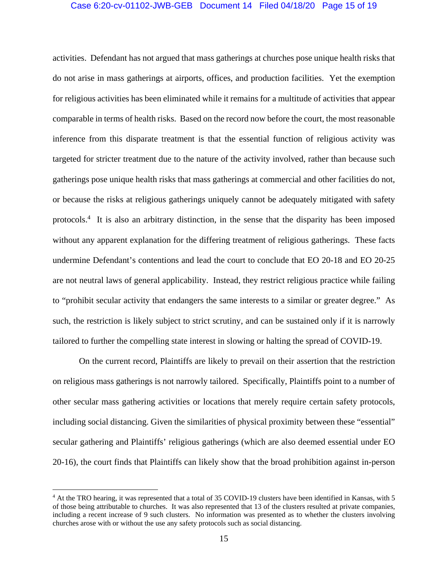## Case 6:20-cv-01102-JWB-GEB Document 14 Filed 04/18/20 Page 15 of 19

activities. Defendant has not argued that mass gatherings at churches pose unique health risks that do not arise in mass gatherings at airports, offices, and production facilities. Yet the exemption for religious activities has been eliminated while it remains for a multitude of activities that appear comparable in terms of health risks. Based on the record now before the court, the most reasonable inference from this disparate treatment is that the essential function of religious activity was targeted for stricter treatment due to the nature of the activity involved, rather than because such gatherings pose unique health risks that mass gatherings at commercial and other facilities do not, or because the risks at religious gatherings uniquely cannot be adequately mitigated with safety protocols.4 It is also an arbitrary distinction, in the sense that the disparity has been imposed without any apparent explanation for the differing treatment of religious gatherings. These facts undermine Defendant's contentions and lead the court to conclude that EO 20-18 and EO 20-25 are not neutral laws of general applicability. Instead, they restrict religious practice while failing to "prohibit secular activity that endangers the same interests to a similar or greater degree." As such, the restriction is likely subject to strict scrutiny, and can be sustained only if it is narrowly tailored to further the compelling state interest in slowing or halting the spread of COVID-19.

 On the current record, Plaintiffs are likely to prevail on their assertion that the restriction on religious mass gatherings is not narrowly tailored. Specifically, Plaintiffs point to a number of other secular mass gathering activities or locations that merely require certain safety protocols, including social distancing. Given the similarities of physical proximity between these "essential" secular gathering and Plaintiffs' religious gatherings (which are also deemed essential under EO 20-16), the court finds that Plaintiffs can likely show that the broad prohibition against in-person

 $\overline{a}$ 

<sup>4</sup> At the TRO hearing, it was represented that a total of 35 COVID-19 clusters have been identified in Kansas, with 5 of those being attributable to churches. It was also represented that 13 of the clusters resulted at private companies, including a recent increase of 9 such clusters. No information was presented as to whether the clusters involving churches arose with or without the use any safety protocols such as social distancing.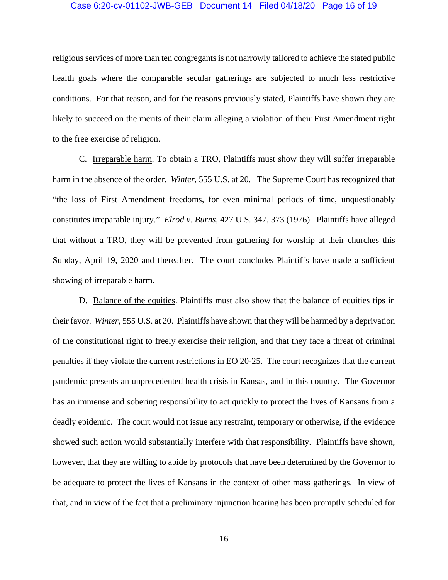#### Case 6:20-cv-01102-JWB-GEB Document 14 Filed 04/18/20 Page 16 of 19

religious services of more than ten congregants is not narrowly tailored to achieve the stated public health goals where the comparable secular gatherings are subjected to much less restrictive conditions. For that reason, and for the reasons previously stated, Plaintiffs have shown they are likely to succeed on the merits of their claim alleging a violation of their First Amendment right to the free exercise of religion.

 C. Irreparable harm. To obtain a TRO, Plaintiffs must show they will suffer irreparable harm in the absence of the order. *Winter*, 555 U.S. at 20. The Supreme Court has recognized that "the loss of First Amendment freedoms, for even minimal periods of time, unquestionably constitutes irreparable injury." *Elrod v. Burns,* 427 U.S. 347, 373 (1976). Plaintiffs have alleged that without a TRO, they will be prevented from gathering for worship at their churches this Sunday, April 19, 2020 and thereafter. The court concludes Plaintiffs have made a sufficient showing of irreparable harm.

 D. Balance of the equities. Plaintiffs must also show that the balance of equities tips in their favor. *Winter,* 555 U.S. at 20. Plaintiffs have shown that they will be harmed by a deprivation of the constitutional right to freely exercise their religion, and that they face a threat of criminal penalties if they violate the current restrictions in EO 20-25. The court recognizes that the current pandemic presents an unprecedented health crisis in Kansas, and in this country. The Governor has an immense and sobering responsibility to act quickly to protect the lives of Kansans from a deadly epidemic. The court would not issue any restraint, temporary or otherwise, if the evidence showed such action would substantially interfere with that responsibility. Plaintiffs have shown, however, that they are willing to abide by protocols that have been determined by the Governor to be adequate to protect the lives of Kansans in the context of other mass gatherings. In view of that, and in view of the fact that a preliminary injunction hearing has been promptly scheduled for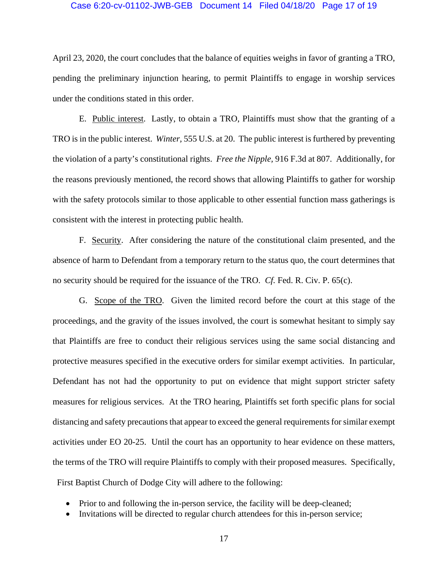#### Case 6:20-cv-01102-JWB-GEB Document 14 Filed 04/18/20 Page 17 of 19

April 23, 2020, the court concludes that the balance of equities weighs in favor of granting a TRO, pending the preliminary injunction hearing, to permit Plaintiffs to engage in worship services under the conditions stated in this order.

E. Public interest. Lastly, to obtain a TRO, Plaintiffs must show that the granting of a TRO is in the public interest. *Winter,* 555 U.S. at 20. The public interest is furthered by preventing the violation of a party's constitutional rights. *Free the Nipple,* 916 F.3d at 807. Additionally, for the reasons previously mentioned, the record shows that allowing Plaintiffs to gather for worship with the safety protocols similar to those applicable to other essential function mass gatherings is consistent with the interest in protecting public health.

F. Security. After considering the nature of the constitutional claim presented, and the absence of harm to Defendant from a temporary return to the status quo, the court determines that no security should be required for the issuance of the TRO. *Cf.* Fed. R. Civ. P. 65(c).

G. Scope of the TRO. Given the limited record before the court at this stage of the proceedings, and the gravity of the issues involved, the court is somewhat hesitant to simply say that Plaintiffs are free to conduct their religious services using the same social distancing and protective measures specified in the executive orders for similar exempt activities. In particular, Defendant has not had the opportunity to put on evidence that might support stricter safety measures for religious services. At the TRO hearing, Plaintiffs set forth specific plans for social distancing and safety precautions that appear to exceed the general requirements for similar exempt activities under EO 20-25. Until the court has an opportunity to hear evidence on these matters, the terms of the TRO will require Plaintiffs to comply with their proposed measures. Specifically, First Baptist Church of Dodge City will adhere to the following:

- Prior to and following the in-person service, the facility will be deep-cleaned;
- Invitations will be directed to regular church attendees for this in-person service;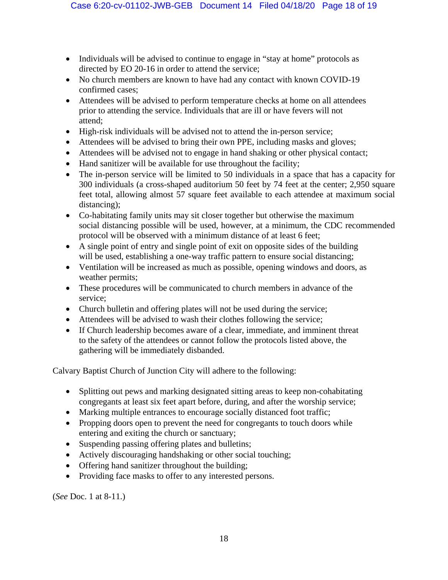- Individuals will be advised to continue to engage in "stay at home" protocols as directed by EO 20-16 in order to attend the service;
- No church members are known to have had any contact with known COVID-19 confirmed cases;
- Attendees will be advised to perform temperature checks at home on all attendees prior to attending the service. Individuals that are ill or have fevers will not attend;
- High-risk individuals will be advised not to attend the in-person service;
- Attendees will be advised to bring their own PPE, including masks and gloves;
- Attendees will be advised not to engage in hand shaking or other physical contact;
- Hand sanitizer will be available for use throughout the facility;
- The in-person service will be limited to 50 individuals in a space that has a capacity for 300 individuals (a cross-shaped auditorium 50 feet by 74 feet at the center; 2,950 square feet total, allowing almost 57 square feet available to each attendee at maximum social distancing);
- Co-habitating family units may sit closer together but otherwise the maximum social distancing possible will be used, however, at a minimum, the CDC recommended protocol will be observed with a minimum distance of at least 6 feet;
- A single point of entry and single point of exit on opposite sides of the building will be used, establishing a one-way traffic pattern to ensure social distancing;
- Ventilation will be increased as much as possible, opening windows and doors, as weather permits;
- These procedures will be communicated to church members in advance of the service;
- Church bulletin and offering plates will not be used during the service;
- Attendees will be advised to wash their clothes following the service;
- If Church leadership becomes aware of a clear, immediate, and imminent threat to the safety of the attendees or cannot follow the protocols listed above, the gathering will be immediately disbanded.

Calvary Baptist Church of Junction City will adhere to the following:

- Splitting out pews and marking designated sitting areas to keep non-cohabitating congregants at least six feet apart before, during, and after the worship service;
- Marking multiple entrances to encourage socially distanced foot traffic;
- Propping doors open to prevent the need for congregants to touch doors while entering and exiting the church or sanctuary;
- Suspending passing offering plates and bulletins;
- Actively discouraging handshaking or other social touching;
- Offering hand sanitizer throughout the building;
- Providing face masks to offer to any interested persons.

(*See* Doc. 1 at 8-11.)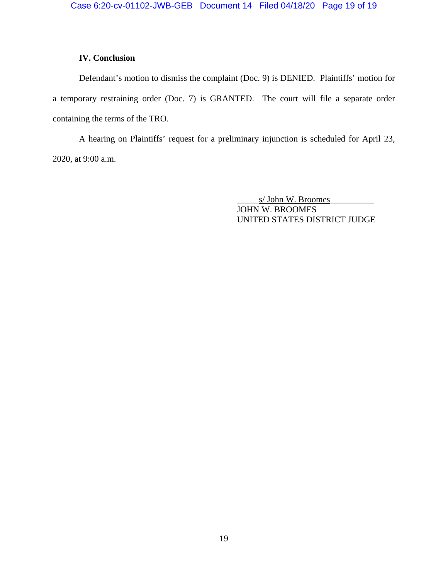# **IV. Conclusion**

Defendant's motion to dismiss the complaint (Doc. 9) is DENIED. Plaintiffs' motion for a temporary restraining order (Doc. 7) is GRANTED. The court will file a separate order containing the terms of the TRO.

A hearing on Plaintiffs' request for a preliminary injunction is scheduled for April 23, 2020, at 9:00 a.m.

> s/ John W. Broomes JOHN W. BROOMES UNITED STATES DISTRICT JUDGE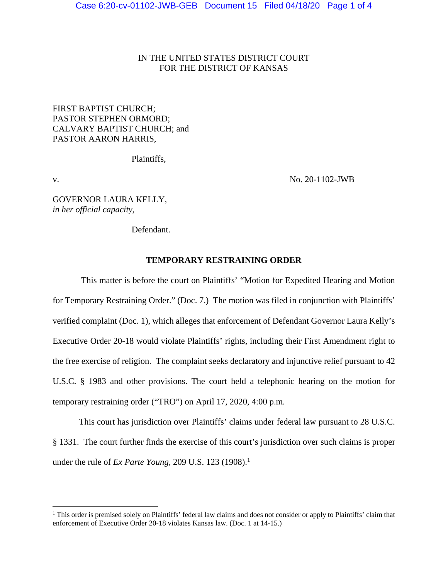# IN THE UNITED STATES DISTRICT COURT FOR THE DISTRICT OF KANSAS

# FIRST BAPTIST CHURCH; PASTOR STEPHEN ORMORD; CALVARY BAPTIST CHURCH; and PASTOR AARON HARRIS,

Plaintiffs,

 $\overline{a}$ 

v. No. 20-1102-JWB

GOVERNOR LAURA KELLY, *in her official capacity,*

Defendant.

# **TEMPORARY RESTRAINING ORDER**

 This matter is before the court on Plaintiffs' "Motion for Expedited Hearing and Motion for Temporary Restraining Order." (Doc. 7.) The motion was filed in conjunction with Plaintiffs' verified complaint (Doc. 1), which alleges that enforcement of Defendant Governor Laura Kelly's Executive Order 20-18 would violate Plaintiffs' rights, including their First Amendment right to the free exercise of religion. The complaint seeks declaratory and injunctive relief pursuant to 42 U.S.C. § 1983 and other provisions. The court held a telephonic hearing on the motion for temporary restraining order ("TRO") on April 17, 2020, 4:00 p.m.

 This court has jurisdiction over Plaintiffs' claims under federal law pursuant to 28 U.S.C. § 1331. The court further finds the exercise of this court's jurisdiction over such claims is proper under the rule of *Ex Parte Young*, 209 U.S. 123 (1908).<sup>1</sup>

<sup>&</sup>lt;sup>1</sup> This order is premised solely on Plaintiffs' federal law claims and does not consider or apply to Plaintiffs' claim that enforcement of Executive Order 20-18 violates Kansas law. (Doc. 1 at 14-15.)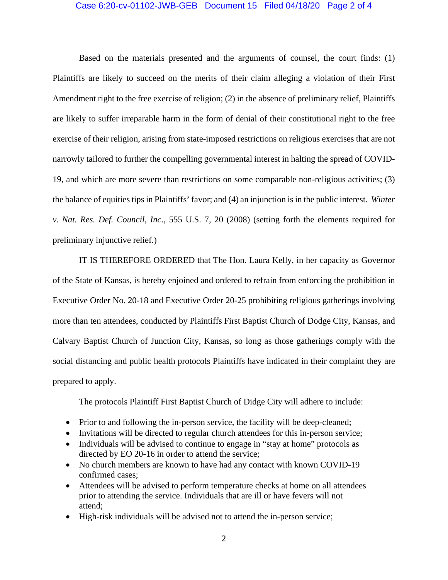## Case 6:20-cv-01102-JWB-GEB Document 15 Filed 04/18/20 Page 2 of 4

 Based on the materials presented and the arguments of counsel, the court finds: (1) Plaintiffs are likely to succeed on the merits of their claim alleging a violation of their First Amendment right to the free exercise of religion; (2) in the absence of preliminary relief, Plaintiffs are likely to suffer irreparable harm in the form of denial of their constitutional right to the free exercise of their religion, arising from state-imposed restrictions on religious exercises that are not narrowly tailored to further the compelling governmental interest in halting the spread of COVID-19, and which are more severe than restrictions on some comparable non-religious activities; (3) the balance of equities tips in Plaintiffs' favor; and (4) an injunction is in the public interest. *Winter v. Nat. Res. Def. Council, Inc*., 555 U.S. 7, 20 (2008) (setting forth the elements required for preliminary injunctive relief.)

 IT IS THEREFORE ORDERED that The Hon. Laura Kelly, in her capacity as Governor of the State of Kansas, is hereby enjoined and ordered to refrain from enforcing the prohibition in Executive Order No. 20-18 and Executive Order 20-25 prohibiting religious gatherings involving more than ten attendees, conducted by Plaintiffs First Baptist Church of Dodge City, Kansas, and Calvary Baptist Church of Junction City, Kansas, so long as those gatherings comply with the social distancing and public health protocols Plaintiffs have indicated in their complaint they are prepared to apply.

The protocols Plaintiff First Baptist Church of Didge City will adhere to include:

- Prior to and following the in-person service, the facility will be deep-cleaned;
- Invitations will be directed to regular church attendees for this in-person service;
- Individuals will be advised to continue to engage in "stay at home" protocols as directed by EO 20-16 in order to attend the service;
- No church members are known to have had any contact with known COVID-19 confirmed cases;
- Attendees will be advised to perform temperature checks at home on all attendees prior to attending the service. Individuals that are ill or have fevers will not attend;
- High-risk individuals will be advised not to attend the in-person service;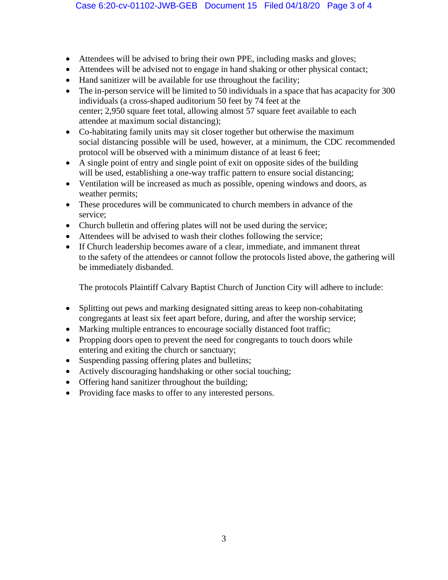- Attendees will be advised to bring their own PPE, including masks and gloves;
- Attendees will be advised not to engage in hand shaking or other physical contact;
- Hand sanitizer will be available for use throughout the facility;
- The in-person service will be limited to 50 individuals in a space that has acapacity for 300 individuals (a cross-shaped auditorium 50 feet by 74 feet at the center; 2,950 square feet total, allowing almost 57 square feet available to each attendee at maximum social distancing);
- Co-habitating family units may sit closer together but otherwise the maximum social distancing possible will be used, however, at a minimum, the CDC recommended protocol will be observed with a minimum distance of at least 6 feet;
- A single point of entry and single point of exit on opposite sides of the building will be used, establishing a one-way traffic pattern to ensure social distancing;
- Ventilation will be increased as much as possible, opening windows and doors, as weather permits;
- These procedures will be communicated to church members in advance of the service;
- Church bulletin and offering plates will not be used during the service;
- Attendees will be advised to wash their clothes following the service;
- If Church leadership becomes aware of a clear, immediate, and immanent threat to the safety of the attendees or cannot follow the protocols listed above, the gathering will be immediately disbanded.

The protocols Plaintiff Calvary Baptist Church of Junction City will adhere to include:

- Splitting out pews and marking designated sitting areas to keep non-cohabitating congregants at least six feet apart before, during, and after the worship service;
- Marking multiple entrances to encourage socially distanced foot traffic;
- Propping doors open to prevent the need for congregants to touch doors while entering and exiting the church or sanctuary;
- Suspending passing offering plates and bulletins;
- Actively discouraging handshaking or other social touching;
- Offering hand sanitizer throughout the building;
- Providing face masks to offer to any interested persons.